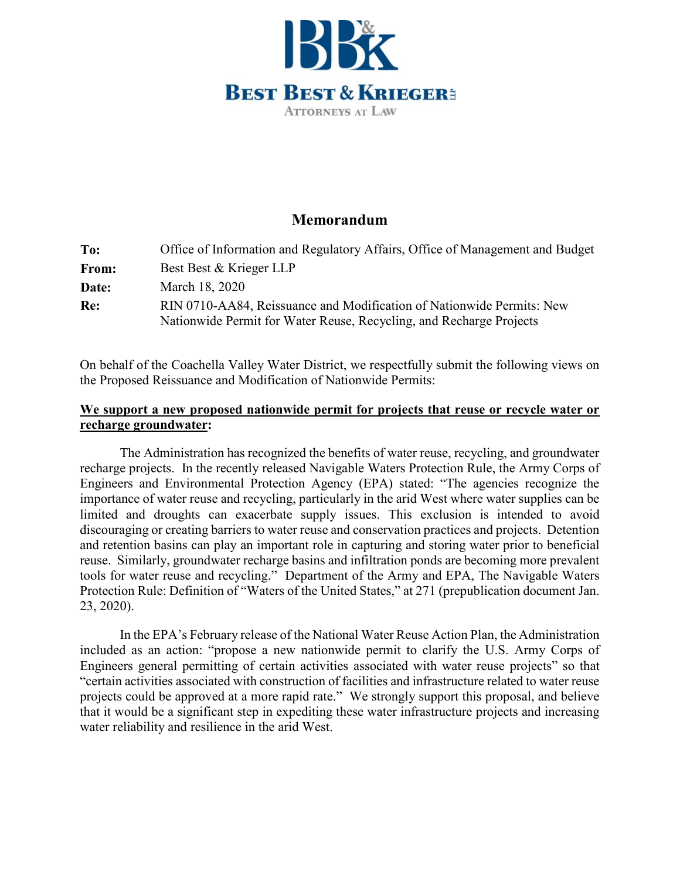

## **Memorandum**

| To:   | Office of Information and Regulatory Affairs, Office of Management and Budget |
|-------|-------------------------------------------------------------------------------|
| From: | Best Best & Krieger LLP                                                       |
| Date: | March 18, 2020                                                                |
| Re:   | RIN 0710-AA84, Reissuance and Modification of Nationwide Permits: New         |
|       | Nationwide Permit for Water Reuse, Recycling, and Recharge Projects           |

On behalf of the Coachella Valley Water District, we respectfully submit the following views on the Proposed Reissuance and Modification of Nationwide Permits:

## **We support a new proposed nationwide permit for projects that reuse or recycle water or recharge groundwater:**

The Administration has recognized the benefits of water reuse, recycling, and groundwater recharge projects. In the recently released Navigable Waters Protection Rule, the Army Corps of Engineers and Environmental Protection Agency (EPA) stated: "The agencies recognize the importance of water reuse and recycling, particularly in the arid West where water supplies can be limited and droughts can exacerbate supply issues. This exclusion is intended to avoid discouraging or creating barriers to water reuse and conservation practices and projects. Detention and retention basins can play an important role in capturing and storing water prior to beneficial reuse. Similarly, groundwater recharge basins and infiltration ponds are becoming more prevalent tools for water reuse and recycling." Department of the Army and EPA, The Navigable Waters Protection Rule: Definition of "Waters of the United States," at 271 (prepublication document Jan. 23, 2020).

In the EPA's February release of the National Water Reuse Action Plan, the Administration included as an action: "propose a new nationwide permit to clarify the U.S. Army Corps of Engineers general permitting of certain activities associated with water reuse projects" so that "certain activities associated with construction of facilities and infrastructure related to water reuse projects could be approved at a more rapid rate." We strongly support this proposal, and believe that it would be a significant step in expediting these water infrastructure projects and increasing water reliability and resilience in the arid West.